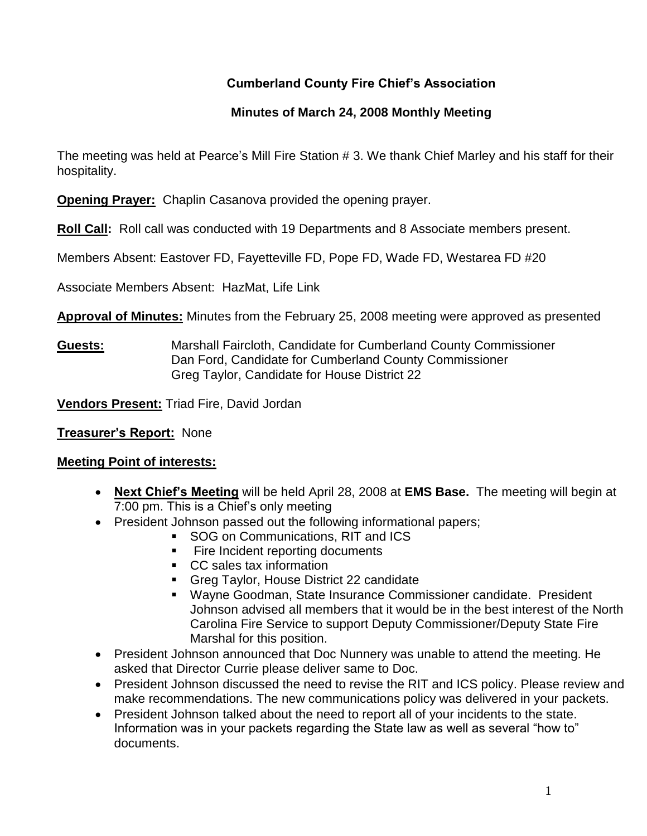# **Cumberland County Fire Chief's Association**

## **Minutes of March 24, 2008 Monthly Meeting**

The meeting was held at Pearce's Mill Fire Station # 3. We thank Chief Marley and his staff for their hospitality.

**Opening Prayer:** Chaplin Casanova provided the opening prayer.

**Roll Call:** Roll call was conducted with 19 Departments and 8 Associate members present.

Members Absent: Eastover FD, Fayetteville FD, Pope FD, Wade FD, Westarea FD #20

Associate Members Absent: HazMat, Life Link

**Approval of Minutes:** Minutes from the February 25, 2008 meeting were approved as presented

**Guests:** Marshall Faircloth, Candidate for Cumberland County Commissioner Dan Ford, Candidate for Cumberland County Commissioner Greg Taylor, Candidate for House District 22

**Vendors Present:** Triad Fire, David Jordan

**Treasurer's Report:** None

## **Meeting Point of interests:**

- **Next Chief's Meeting** will be held April 28, 2008 at **EMS Base.** The meeting will begin at 7:00 pm. This is a Chief's only meeting
- President Johnson passed out the following informational papers;
	- **SOG on Communications, RIT and ICS**
	- **Fire Incident reporting documents**
	- CC sales tax information
	- Greg Taylor, House District 22 candidate
	- Wayne Goodman, State Insurance Commissioner candidate. President Johnson advised all members that it would be in the best interest of the North Carolina Fire Service to support Deputy Commissioner/Deputy State Fire Marshal for this position.
- President Johnson announced that Doc Nunnery was unable to attend the meeting. He asked that Director Currie please deliver same to Doc.
- President Johnson discussed the need to revise the RIT and ICS policy. Please review and make recommendations. The new communications policy was delivered in your packets.
- President Johnson talked about the need to report all of your incidents to the state. Information was in your packets regarding the State law as well as several "how to" documents.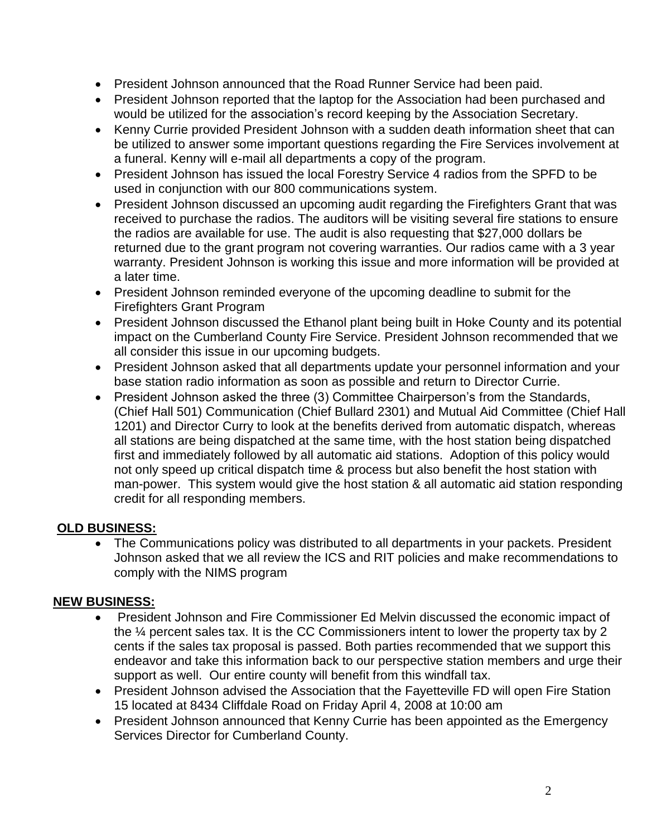- President Johnson announced that the Road Runner Service had been paid.
- President Johnson reported that the laptop for the Association had been purchased and would be utilized for the association's record keeping by the Association Secretary.
- Kenny Currie provided President Johnson with a sudden death information sheet that can be utilized to answer some important questions regarding the Fire Services involvement at a funeral. Kenny will e-mail all departments a copy of the program.
- President Johnson has issued the local Forestry Service 4 radios from the SPFD to be used in conjunction with our 800 communications system.
- President Johnson discussed an upcoming audit regarding the Firefighters Grant that was received to purchase the radios. The auditors will be visiting several fire stations to ensure the radios are available for use. The audit is also requesting that \$27,000 dollars be returned due to the grant program not covering warranties. Our radios came with a 3 year warranty. President Johnson is working this issue and more information will be provided at a later time.
- President Johnson reminded everyone of the upcoming deadline to submit for the Firefighters Grant Program
- President Johnson discussed the Ethanol plant being built in Hoke County and its potential impact on the Cumberland County Fire Service. President Johnson recommended that we all consider this issue in our upcoming budgets.
- President Johnson asked that all departments update your personnel information and your base station radio information as soon as possible and return to Director Currie.
- President Johnson asked the three (3) Committee Chairperson's from the Standards, (Chief Hall 501) Communication (Chief Bullard 2301) and Mutual Aid Committee (Chief Hall 1201) and Director Curry to look at the benefits derived from automatic dispatch, whereas all stations are being dispatched at the same time, with the host station being dispatched first and immediately followed by all automatic aid stations. Adoption of this policy would not only speed up critical dispatch time & process but also benefit the host station with man-power. This system would give the host station & all automatic aid station responding credit for all responding members.

# **OLD BUSINESS:**

 The Communications policy was distributed to all departments in your packets. President Johnson asked that we all review the ICS and RIT policies and make recommendations to comply with the NIMS program

## **NEW BUSINESS:**

- President Johnson and Fire Commissioner Ed Melvin discussed the economic impact of the ¼ percent sales tax. It is the CC Commissioners intent to lower the property tax by 2 cents if the sales tax proposal is passed. Both parties recommended that we support this endeavor and take this information back to our perspective station members and urge their support as well. Our entire county will benefit from this windfall tax.
- President Johnson advised the Association that the Fayetteville FD will open Fire Station 15 located at 8434 Cliffdale Road on Friday April 4, 2008 at 10:00 am
- President Johnson announced that Kenny Currie has been appointed as the Emergency Services Director for Cumberland County.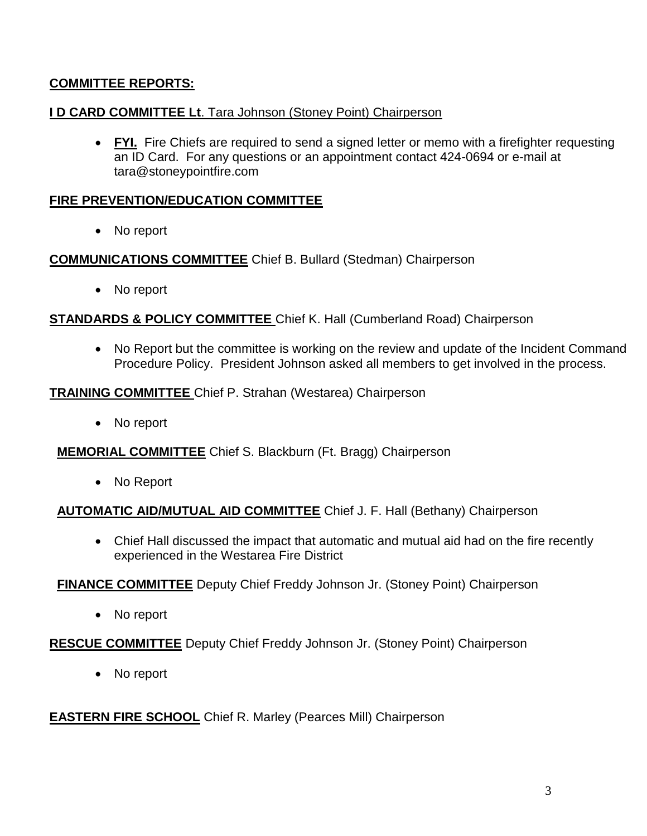## **COMMITTEE REPORTS:**

## **I D CARD COMMITTEE Lt**. Tara Johnson (Stoney Point) Chairperson

 **FYI.** Fire Chiefs are required to send a signed letter or memo with a firefighter requesting an ID Card. For any questions or an appointment contact 424-0694 or e-mail at [tara@stoneypointfire.com](mailto:tara@stoneypointfire.com)

### **FIRE PREVENTION/EDUCATION COMMITTEE**

• No report

### **COMMUNICATIONS COMMITTEE** Chief B. Bullard (Stedman) Chairperson

• No report

### **STANDARDS & POLICY COMMITTEE** Chief K. Hall (Cumberland Road) Chairperson

• No Report but the committee is working on the review and update of the Incident Command Procedure Policy. President Johnson asked all members to get involved in the process.

#### **TRAINING COMMITTEE** Chief P. Strahan (Westarea) Chairperson

• No report

**MEMORIAL COMMITTEE** Chief S. Blackburn (Ft. Bragg) Chairperson

No Report

#### **AUTOMATIC AID/MUTUAL AID COMMITTEE** Chief J. F. Hall (Bethany) Chairperson

 Chief Hall discussed the impact that automatic and mutual aid had on the fire recently experienced in the Westarea Fire District

#### **FINANCE COMMITTEE** Deputy Chief Freddy Johnson Jr. (Stoney Point) Chairperson

• No report

#### **RESCUE COMMITTEE** Deputy Chief Freddy Johnson Jr. (Stoney Point) Chairperson

• No report

## **EASTERN FIRE SCHOOL** Chief R. Marley (Pearces Mill) Chairperson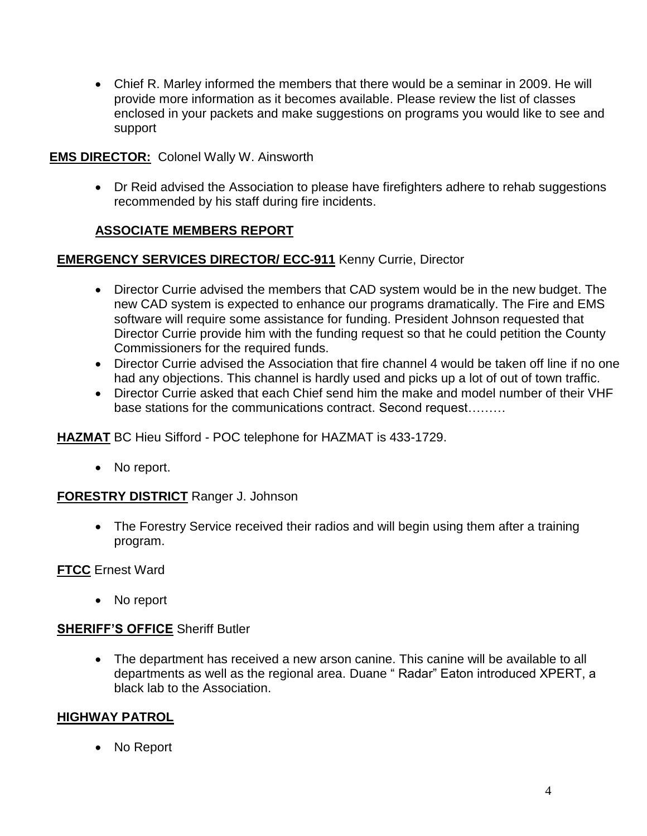Chief R. Marley informed the members that there would be a seminar in 2009. He will provide more information as it becomes available. Please review the list of classes enclosed in your packets and make suggestions on programs you would like to see and support

## **EMS DIRECTOR:** Colonel Wally W. Ainsworth

• Dr Reid advised the Association to please have firefighters adhere to rehab suggestions recommended by his staff during fire incidents.

## **ASSOCIATE MEMBERS REPORT**

## **EMERGENCY SERVICES DIRECTOR/ ECC-911** Kenny Currie, Director

- Director Currie advised the members that CAD system would be in the new budget. The new CAD system is expected to enhance our programs dramatically. The Fire and EMS software will require some assistance for funding. President Johnson requested that Director Currie provide him with the funding request so that he could petition the County Commissioners for the required funds.
- Director Currie advised the Association that fire channel 4 would be taken off line if no one had any objections. This channel is hardly used and picks up a lot of out of town traffic.
- Director Currie asked that each Chief send him the make and model number of their VHF base stations for the communications contract. Second request………

**HAZMAT** BC Hieu Sifford - POC telephone for HAZMAT is 433-1729.

• No report.

## **FORESTRY DISTRICT** Ranger J. Johnson

• The Forestry Service received their radios and will begin using them after a training program.

**FTCC** Ernest Ward

• No report

## **SHERIFF'S OFFICE** Sheriff Butler

 The department has received a new arson canine. This canine will be available to all departments as well as the regional area. Duane " Radar" Eaton introduced XPERT, a black lab to the Association.

## **HIGHWAY PATROL**

• No Report